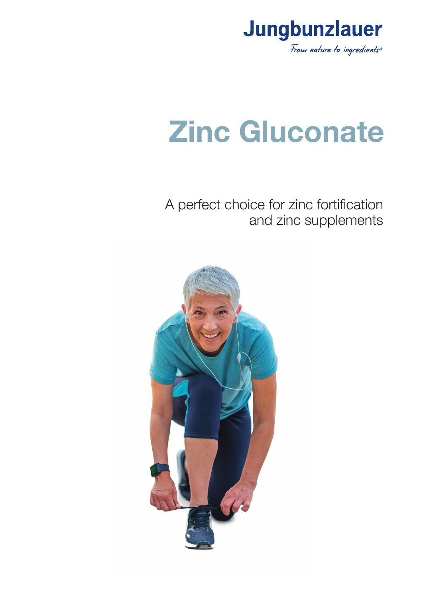

# **Zinc Gluconate**

A perfect choice for zinc fortification and zinc supplements